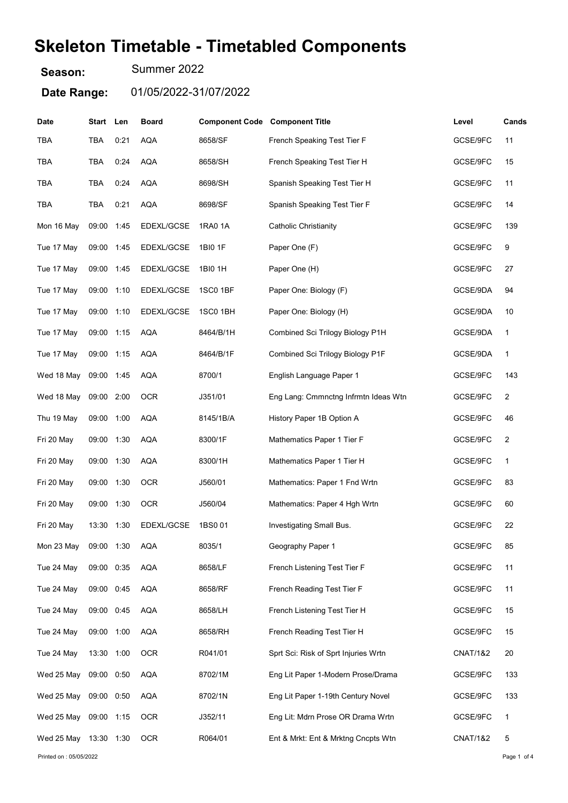## Skeleton Timetable - Timetabled Components

Season: Summer 2022

Date Range: 01/05/2022-31/07/2022

| <b>Date</b>            | Start      | Len  | <b>Board</b> | <b>Component Code Component Title</b> |                                      | Level               | Cands       |
|------------------------|------------|------|--------------|---------------------------------------|--------------------------------------|---------------------|-------------|
| TBA                    | TBA        | 0:21 | <b>AQA</b>   | 8658/SF                               | French Speaking Test Tier F          | GCSE/9FC            | 11          |
| TBA                    | TBA        | 0:24 | <b>AQA</b>   | 8658/SH                               | French Speaking Test Tier H          | GCSE/9FC            | 15          |
| TBA                    | TBA        | 0:24 | <b>AQA</b>   | 8698/SH                               | Spanish Speaking Test Tier H         | GCSE/9FC            | 11          |
| TBA                    | <b>TBA</b> | 0:21 | <b>AQA</b>   | 8698/SF                               | Spanish Speaking Test Tier F         | GCSE/9FC            | 14          |
| Mon 16 May             | 09:00      | 1:45 | EDEXL/GCSE   | 1RA0 1A                               | <b>Catholic Christianity</b>         | GCSE/9FC            | 139         |
| Tue 17 May             | 09:00 1:45 |      | EDEXL/GCSE   | 1BI0 1F                               | Paper One (F)                        | GCSE/9FC            | 9           |
| Tue 17 May             | 09:00      | 1:45 | EDEXL/GCSE   | 1BI0 1H                               | Paper One (H)                        | GCSE/9FC            | 27          |
| Tue 17 May             | 09:00      | 1:10 | EDEXL/GCSE   | 1SC0 1BF                              | Paper One: Biology (F)               | GCSE/9DA            | 94          |
| Tue 17 May             | 09:00 1:10 |      | EDEXL/GCSE   | 1SC0 1BH                              | Paper One: Biology (H)               | GCSE/9DA            | 10          |
| Tue 17 May             | 09:00      | 1:15 | <b>AQA</b>   | 8464/B/1H                             | Combined Sci Trilogy Biology P1H     | GCSE/9DA            | 1           |
| Tue 17 May             | 09:00      | 1:15 | <b>AQA</b>   | 8464/B/1F                             | Combined Sci Trilogy Biology P1F     | GCSE/9DA            | 1           |
| Wed 18 May             | 09:00 1:45 |      | <b>AQA</b>   | 8700/1                                | English Language Paper 1             | GCSE/9FC            | 143         |
| Wed 18 May             | 09:00 2:00 |      | <b>OCR</b>   | J351/01                               | Eng Lang: Cmmnctng Infrmtn Ideas Wtn | GCSE/9FC            | 2           |
| Thu 19 May             | 09:00      | 1:00 | <b>AQA</b>   | 8145/1B/A                             | History Paper 1B Option A            | GCSE/9FC            | 46          |
| Fri 20 May             | 09:00 1:30 |      | <b>AQA</b>   | 8300/1F                               | Mathematics Paper 1 Tier F           | GCSE/9FC            | 2           |
| Fri 20 May             | 09:00 1:30 |      | <b>AQA</b>   | 8300/1H                               | Mathematics Paper 1 Tier H           | GCSE/9FC            | 1           |
| Fri 20 May             | 09:00 1:30 |      | <b>OCR</b>   | J560/01                               | Mathematics: Paper 1 Fnd Wrtn        | GCSE/9FC            | 83          |
| Fri 20 May             | 09:00      | 1:30 | <b>OCR</b>   | J560/04                               | Mathematics: Paper 4 Hgh Wrtn        | GCSE/9FC            | 60          |
| Fri 20 May             | 13:30      | 1:30 | EDEXL/GCSE   | 1BS001                                | Investigating Small Bus.             | GCSE/9FC            | 22          |
| Mon 23 May             | 09:00 1:30 |      | AQA          | 8035/1                                | Geography Paper 1                    | GCSE/9FC            | 85          |
| Tue 24 May             | 09:00 0:35 |      | <b>AQA</b>   | 8658/LF                               | French Listening Test Tier F         | GCSE/9FC            | 11          |
| Tue 24 May             | 09:00 0:45 |      | <b>AQA</b>   | 8658/RF                               | French Reading Test Tier F           | GCSE/9FC            | 11          |
| Tue 24 May             | 09:00 0:45 |      | <b>AQA</b>   | 8658/LH                               | French Listening Test Tier H         | GCSE/9FC            | 15          |
| Tue 24 May             | 09:00 1:00 |      | <b>AQA</b>   | 8658/RH                               | French Reading Test Tier H           | GCSE/9FC            | 15          |
| Tue 24 May             | 13:30 1:00 |      | <b>OCR</b>   | R041/01                               | Sprt Sci: Risk of Sprt Injuries Wrtn | <b>CNAT/1&amp;2</b> | $20\,$      |
| Wed 25 May             | 09:00 0:50 |      | <b>AQA</b>   | 8702/1M                               | Eng Lit Paper 1-Modern Prose/Drama   | GCSE/9FC            | 133         |
| Wed 25 May             | 09:00 0:50 |      | <b>AQA</b>   | 8702/1N                               | Eng Lit Paper 1-19th Century Novel   | GCSE/9FC            | 133         |
| Wed 25 May             | 09:00 1:15 |      | <b>OCR</b>   | J352/11                               | Eng Lit: Mdrn Prose OR Drama Wrtn    | GCSE/9FC            | 1           |
| Wed 25 May             | 13:30 1:30 |      | <b>OCR</b>   | R064/01                               | Ent & Mrkt: Ent & Mrktng Cncpts Wtn  | <b>CNAT/1&amp;2</b> | 5           |
| Printed on: 05/05/2022 |            |      |              |                                       |                                      |                     | Page 1 of 4 |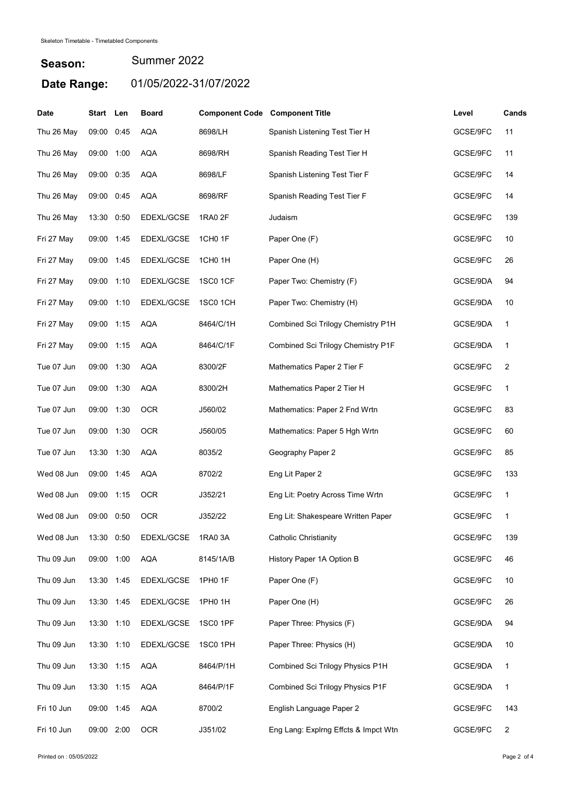## Season: Date Range: 01/05/2022-31/07/2022 Summer 2022

| <b>Date</b> | Start Len  |      | <b>Board</b> | <b>Component Code Component Title</b> |                                      | Level    | Cands |
|-------------|------------|------|--------------|---------------------------------------|--------------------------------------|----------|-------|
| Thu 26 May  | 09:00      | 0:45 | <b>AQA</b>   | 8698/LH                               | Spanish Listening Test Tier H        | GCSE/9FC | 11    |
| Thu 26 May  | 09:00      | 1:00 | <b>AQA</b>   | 8698/RH                               | Spanish Reading Test Tier H          | GCSE/9FC | 11    |
| Thu 26 May  | 09:00      | 0:35 | <b>AQA</b>   | 8698/LF                               | Spanish Listening Test Tier F        | GCSE/9FC | 14    |
| Thu 26 May  | 09:00      | 0:45 | <b>AQA</b>   | 8698/RF                               | Spanish Reading Test Tier F          | GCSE/9FC | 14    |
| Thu 26 May  | 13:30      | 0:50 | EDEXL/GCSE   | 1RA0 2F                               | Judaism                              | GCSE/9FC | 139   |
| Fri 27 May  | 09:00      | 1:45 | EDEXL/GCSE   | 1CH0 1F                               | Paper One (F)                        | GCSE/9FC | 10    |
| Fri 27 May  | 09:00 1:45 |      | EDEXL/GCSE   | 1CH <sub>0</sub> 1H                   | Paper One (H)                        | GCSE/9FC | 26    |
| Fri 27 May  | 09:00      | 1:10 | EDEXL/GCSE   | <b>1SC0 1CF</b>                       | Paper Two: Chemistry (F)             | GCSE/9DA | 94    |
| Fri 27 May  | 09:00      | 1:10 | EDEXL/GCSE   | 1SC0 1CH                              | Paper Two: Chemistry (H)             | GCSE/9DA | 10    |
| Fri 27 May  | 09:00      | 1:15 | <b>AQA</b>   | 8464/C/1H                             | Combined Sci Trilogy Chemistry P1H   | GCSE/9DA | 1     |
| Fri 27 May  | 09:00      | 1:15 | <b>AQA</b>   | 8464/C/1F                             | Combined Sci Trilogy Chemistry P1F   | GCSE/9DA | 1     |
| Tue 07 Jun  | 09:00 1:30 |      | <b>AQA</b>   | 8300/2F                               | Mathematics Paper 2 Tier F           | GCSE/9FC | 2     |
| Tue 07 Jun  | 09:00 1:30 |      | AQA          | 8300/2H                               | Mathematics Paper 2 Tier H           | GCSE/9FC | 1     |
| Tue 07 Jun  | 09:00 1:30 |      | <b>OCR</b>   | J560/02                               | Mathematics: Paper 2 Fnd Wrtn        | GCSE/9FC | 83    |
| Tue 07 Jun  | 09:00      | 1:30 | <b>OCR</b>   | J560/05                               | Mathematics: Paper 5 Hgh Wrtn        | GCSE/9FC | 60    |
| Tue 07 Jun  | 13:30 1:30 |      | <b>AQA</b>   | 8035/2                                | Geography Paper 2                    | GCSE/9FC | 85    |
| Wed 08 Jun  | 09:00      | 1:45 | <b>AQA</b>   | 8702/2                                | Eng Lit Paper 2                      | GCSE/9FC | 133   |
| Wed 08 Jun  | 09:00      | 1:15 | OCR          | J352/21                               | Eng Lit: Poetry Across Time Wrtn     | GCSE/9FC | 1     |
| Wed 08 Jun  | 09:00      | 0:50 | <b>OCR</b>   | J352/22                               | Eng Lit: Shakespeare Written Paper   | GCSE/9FC | 1     |
| Wed 08 Jun  | 13:30 0:50 |      | EDEXL/GCSE   | 1RA0 3A                               | <b>Catholic Christianity</b>         | GCSE/9FC | 139   |
| Thu 09 Jun  | 09:00 1:00 |      | <b>AQA</b>   | 8145/1A/B                             | History Paper 1A Option B            | GCSE/9FC | 46    |
| Thu 09 Jun  | 13:30 1:45 |      | EDEXL/GCSE   | 1PH0 1F                               | Paper One (F)                        | GCSE/9FC | 10    |
| Thu 09 Jun  | 13:30 1:45 |      | EDEXL/GCSE   | 1PH0 1H                               | Paper One (H)                        | GCSE/9FC | 26    |
| Thu 09 Jun  | 13:30 1:10 |      | EDEXL/GCSE   | 1SC0 1PF                              | Paper Three: Physics (F)             | GCSE/9DA | 94    |
| Thu 09 Jun  | 13:30 1:10 |      | EDEXL/GCSE   | 1SC0 1PH                              | Paper Three: Physics (H)             | GCSE/9DA | 10    |
| Thu 09 Jun  | 13:30 1:15 |      | <b>AQA</b>   | 8464/P/1H                             | Combined Sci Trilogy Physics P1H     | GCSE/9DA | 1     |
| Thu 09 Jun  | 13:30 1:15 |      | <b>AQA</b>   | 8464/P/1F                             | Combined Sci Trilogy Physics P1F     | GCSE/9DA | 1     |
| Fri 10 Jun  | 09:00 1:45 |      | <b>AQA</b>   | 8700/2                                | English Language Paper 2             | GCSE/9FC | 143   |
| Fri 10 Jun  | 09:00 2:00 |      | <b>OCR</b>   | J351/02                               | Eng Lang: Explrng Effcts & Impct Wtn | GCSE/9FC | 2     |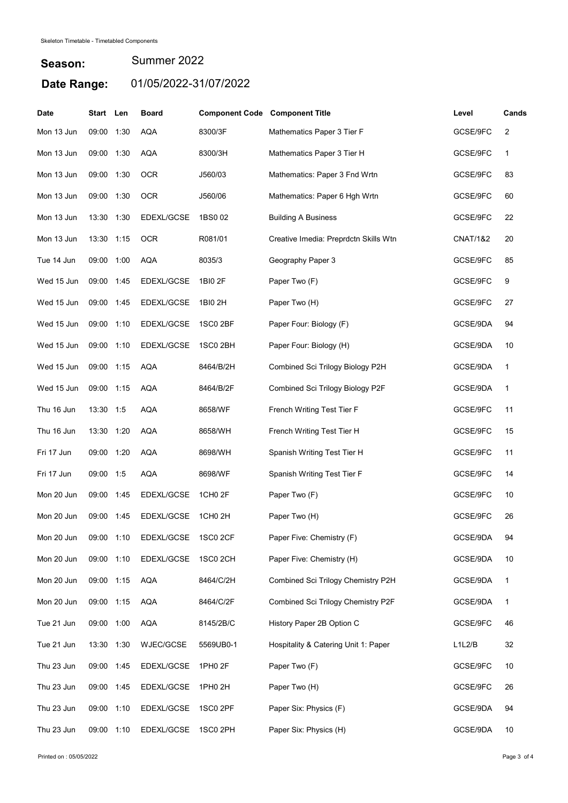## Season: Date Range: 01/05/2022-31/07/2022 Summer 2022

| <b>Date</b> | Start Len  |      | <b>Board</b> | <b>Component Code Component Title</b> |                                       | Level               | Cands |
|-------------|------------|------|--------------|---------------------------------------|---------------------------------------|---------------------|-------|
| Mon 13 Jun  | 09:00      | 1:30 | <b>AQA</b>   | 8300/3F                               | Mathematics Paper 3 Tier F            | GCSE/9FC            | 2     |
| Mon 13 Jun  | 09:00      | 1:30 | <b>AQA</b>   | 8300/3H                               | Mathematics Paper 3 Tier H            | GCSE/9FC            | 1     |
| Mon 13 Jun  | 09:00 1:30 |      | OCR          | J560/03                               | Mathematics: Paper 3 Fnd Wrtn         | GCSE/9FC            | 83    |
| Mon 13 Jun  | 09:00      | 1:30 | <b>OCR</b>   | J560/06                               | Mathematics: Paper 6 Hgh Wrtn         | GCSE/9FC            | 60    |
| Mon 13 Jun  | 13:30 1:30 |      | EDEXL/GCSE   | 1BS002                                | <b>Building A Business</b>            | GCSE/9FC            | 22    |
| Mon 13 Jun  | 13:30      | 1:15 | <b>OCR</b>   | R081/01                               | Creative Imedia: Preprdctn Skills Wtn | <b>CNAT/1&amp;2</b> | 20    |
| Tue 14 Jun  | 09:00      | 1:00 | <b>AQA</b>   | 8035/3                                | Geography Paper 3                     | GCSE/9FC            | 85    |
| Wed 15 Jun  | 09:00      | 1:45 | EDEXL/GCSE   | 1BI0 2F                               | Paper Two (F)                         | GCSE/9FC            | 9     |
| Wed 15 Jun  | 09:00      | 1:45 | EDEXL/GCSE   | 1BI0 2H                               | Paper Two (H)                         | GCSE/9FC            | 27    |
| Wed 15 Jun  | 09:00      | 1:10 | EDEXL/GCSE   | 1SC0 2BF                              | Paper Four: Biology (F)               | GCSE/9DA            | 94    |
| Wed 15 Jun  | 09:00      | 1:10 | EDEXL/GCSE   | 1SC0 2BH                              | Paper Four: Biology (H)               | GCSE/9DA            | 10    |
| Wed 15 Jun  | 09:00 1:15 |      | <b>AQA</b>   | 8464/B/2H                             | Combined Sci Trilogy Biology P2H      | GCSE/9DA            | 1     |
| Wed 15 Jun  | 09:00 1:15 |      | AQA          | 8464/B/2F                             | Combined Sci Trilogy Biology P2F      | GCSE/9DA            | 1     |
| Thu 16 Jun  | 13:30 1:5  |      | <b>AQA</b>   | 8658/WF                               | French Writing Test Tier F            | GCSE/9FC            | 11    |
| Thu 16 Jun  | 13:30      | 1:20 | <b>AQA</b>   | 8658/WH                               | French Writing Test Tier H            | GCSE/9FC            | 15    |
| Fri 17 Jun  | 09:00 1:20 |      | <b>AQA</b>   | 8698/WH                               | Spanish Writing Test Tier H           | GCSE/9FC            | 11    |
| Fri 17 Jun  | 09:00 1:5  |      | <b>AQA</b>   | 8698/WF                               | Spanish Writing Test Tier F           | GCSE/9FC            | 14    |
| Mon 20 Jun  | 09:00      | 1:45 | EDEXL/GCSE   | 1CH0 2F                               | Paper Two (F)                         | GCSE/9FC            | 10    |
| Mon 20 Jun  | 09:00      | 1:45 | EDEXL/GCSE   | 1CH <sub>0</sub> 2H                   | Paper Two (H)                         | GCSE/9FC            | 26    |
| Mon 20 Jun  | 09:00 1:10 |      | EDEXL/GCSE   | <b>1SC0 2CF</b>                       | Paper Five: Chemistry (F)             | GCSE/9DA            | 94    |
| Mon 20 Jun  | 09:00 1:10 |      | EDEXL/GCSE   | 1SC0 2CH                              | Paper Five: Chemistry (H)             | GCSE/9DA            | 10    |
| Mon 20 Jun  | 09:00 1:15 |      | <b>AQA</b>   | 8464/C/2H                             | Combined Sci Trilogy Chemistry P2H    | GCSE/9DA            | 1     |
| Mon 20 Jun  | 09:00 1:15 |      | <b>AQA</b>   | 8464/C/2F                             | Combined Sci Trilogy Chemistry P2F    | GCSE/9DA            | 1     |
| Tue 21 Jun  | 09:00 1:00 |      | <b>AQA</b>   | 8145/2B/C                             | History Paper 2B Option C             | GCSE/9FC            | 46    |
| Tue 21 Jun  | 13:30 1:30 |      | WJEC/GCSE    | 5569UB0-1                             | Hospitality & Catering Unit 1: Paper  | L1L2/B              | 32    |
| Thu 23 Jun  | 09:00 1:45 |      | EDEXL/GCSE   | 1PH0 2F                               | Paper Two (F)                         | GCSE/9FC            | 10    |
| Thu 23 Jun  | 09:00 1:45 |      | EDEXL/GCSE   | 1PH0 2H                               | Paper Two (H)                         | GCSE/9FC            | 26    |
| Thu 23 Jun  | 09:00 1:10 |      | EDEXL/GCSE   | 1SC0 2PF                              | Paper Six: Physics (F)                | GCSE/9DA            | 94    |
| Thu 23 Jun  | 09:00 1:10 |      | EDEXL/GCSE   | 1SC0 2PH                              | Paper Six: Physics (H)                | GCSE/9DA            | 10    |